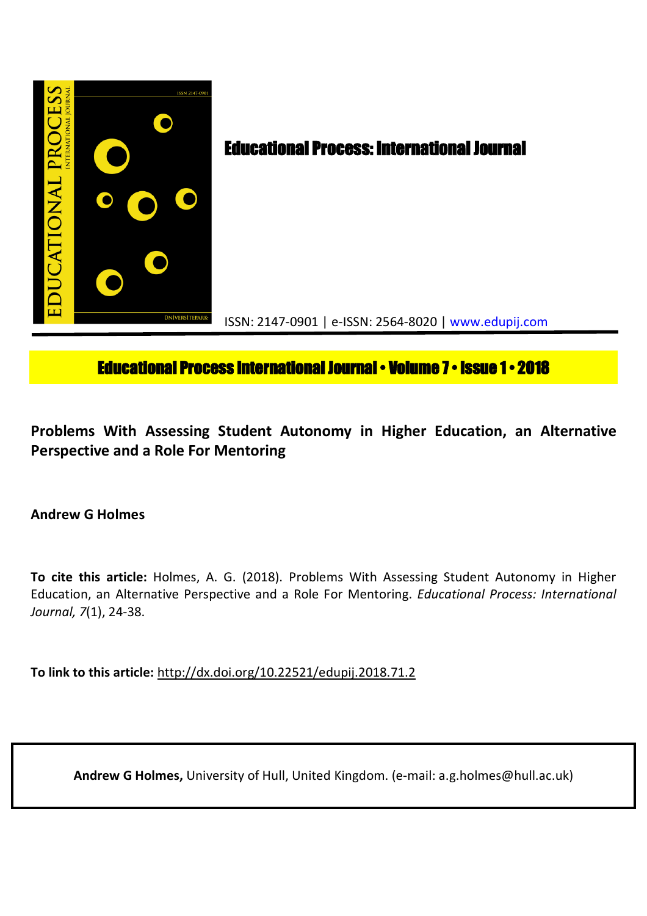

# **Educational Process International Journal • Volume 7 • Issue 1 • 2018**

**Problems With Assessing Student Autonomy in Higher Education, an Alternative Perspective and a Role For Mentoring**

**Andrew G Holmes**

**To cite this article:** Holmes, A. G. (2018). Problems With Assessing Student Autonomy in Higher Education, an Alternative Perspective and a Role For Mentoring. *Educational Process: International Journal, 7*(1), 24-38.

**To link to this article:** http://dx.doi.org/10.22521/edupij.2018.71.2

**Andrew G Holmes,** University of Hull, United Kingdom. (e-mail: a.g.holmes@hull.ac.uk)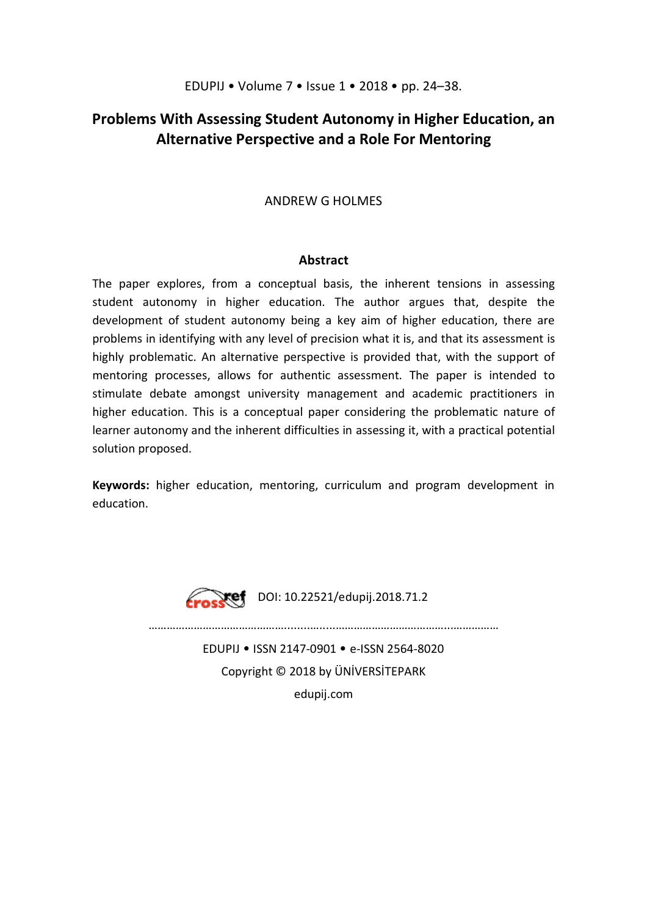## **Problems With Assessing Student Autonomy in Higher Education, an Alternative Perspective and a Role For Mentoring**

## ANDREW G HOLMES

## **Abstract**

The paper explores, from a conceptual basis, the inherent tensions in assessing student autonomy in higher education. The author argues that, despite the development of student autonomy being a key aim of higher education, there are problems in identifying with any level of precision what it is, and that its assessment is highly problematic. An alternative perspective is provided that, with the support of mentoring processes, allows for authentic assessment. The paper is intended to stimulate debate amongst university management and academic practitioners in higher education. This is a conceptual paper considering the problematic nature of learner autonomy and the inherent difficulties in assessing it, with a practical potential solution proposed.

**Keywords:** higher education, mentoring, curriculum and program development in education.



EDUPIJ • ISSN 2147-0901 • e-ISSN 2564-8020 Copyright © 2018 by ÜNİVERSİTEPARK edupij.com

………………………………………........….....………………………………...……………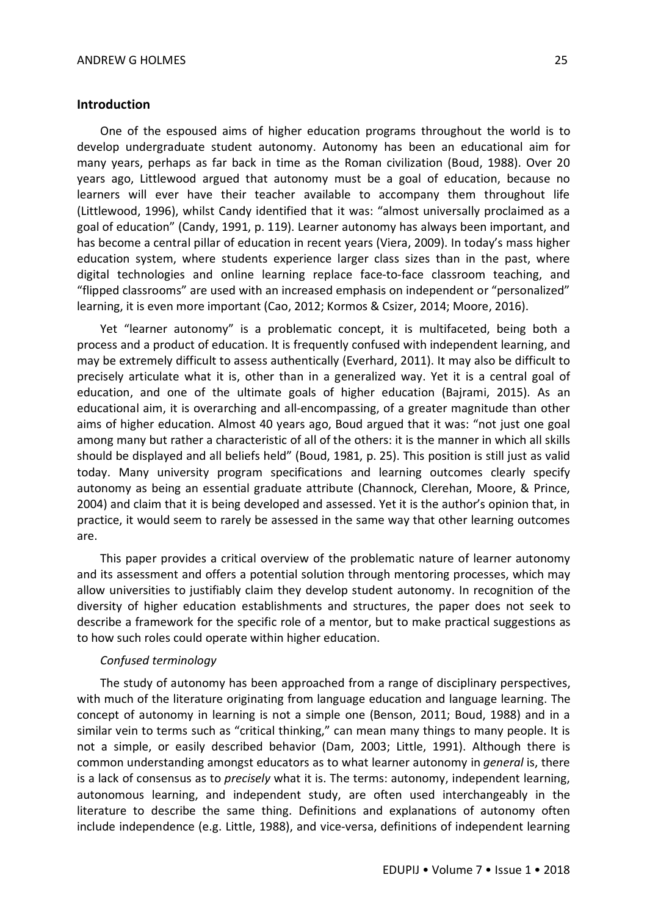#### **Introduction**

One of the espoused aims of higher education programs throughout the world is to develop undergraduate student autonomy. Autonomy has been an educational aim for many years, perhaps as far back in time as the Roman civilization (Boud, 1988). Over 20 years ago, Littlewood argued that autonomy must be a goal of education, because no learners will ever have their teacher available to accompany them throughout life (Littlewood, 1996), whilst Candy identified that it was: "almost universally proclaimed as a goal of education" (Candy, 1991, p. 119). Learner autonomy has always been important, and has become a central pillar of education in recent years (Viera, 2009). In today's mass higher education system, where students experience larger class sizes than in the past, where digital technologies and online learning replace face-to-face classroom teaching, and "flipped classrooms" are used with an increased emphasis on independent or "personalized" learning, it is even more important (Cao, 2012; Kormos & Csizer, 2014; Moore, 2016).

Yet "learner autonomy" is a problematic concept, it is multifaceted, being both a process and a product of education. It is frequently confused with independent learning, and may be extremely difficult to assess authentically (Everhard, 2011). It may also be difficult to precisely articulate what it is, other than in a generalized way. Yet it is a central goal of education, and one of the ultimate goals of higher education (Bajrami, 2015). As an educational aim, it is overarching and all-encompassing, of a greater magnitude than other aims of higher education. Almost 40 years ago, Boud argued that it was: "not just one goal among many but rather a characteristic of all of the others: it is the manner in which all skills should be displayed and all beliefs held" (Boud, 1981, p. 25). This position is still just as valid today. Many university program specifications and learning outcomes clearly specify autonomy as being an essential graduate attribute (Channock, Clerehan, Moore, & Prince, 2004) and claim that it is being developed and assessed. Yet it is the author's opinion that, in practice, it would seem to rarely be assessed in the same way that other learning outcomes are.

This paper provides a critical overview of the problematic nature of learner autonomy and its assessment and offers a potential solution through mentoring processes, which may allow universities to justifiably claim they develop student autonomy. In recognition of the diversity of higher education establishments and structures, the paper does not seek to describe a framework for the specific role of a mentor, but to make practical suggestions as to how such roles could operate within higher education.

#### *Confused terminology*

The study of autonomy has been approached from a range of disciplinary perspectives, with much of the literature originating from language education and language learning. The concept of autonomy in learning is not a simple one (Benson, 2011; Boud, 1988) and in a similar vein to terms such as "critical thinking," can mean many things to many people. It is not a simple, or easily described behavior (Dam, 2003; Little, 1991). Although there is common understanding amongst educators as to what learner autonomy in *general* is, there is a lack of consensus as to *precisely* what it is. The terms: autonomy, independent learning, autonomous learning, and independent study, are often used interchangeably in the literature to describe the same thing. Definitions and explanations of autonomy often include independence (e.g. Little, 1988), and vice-versa, definitions of independent learning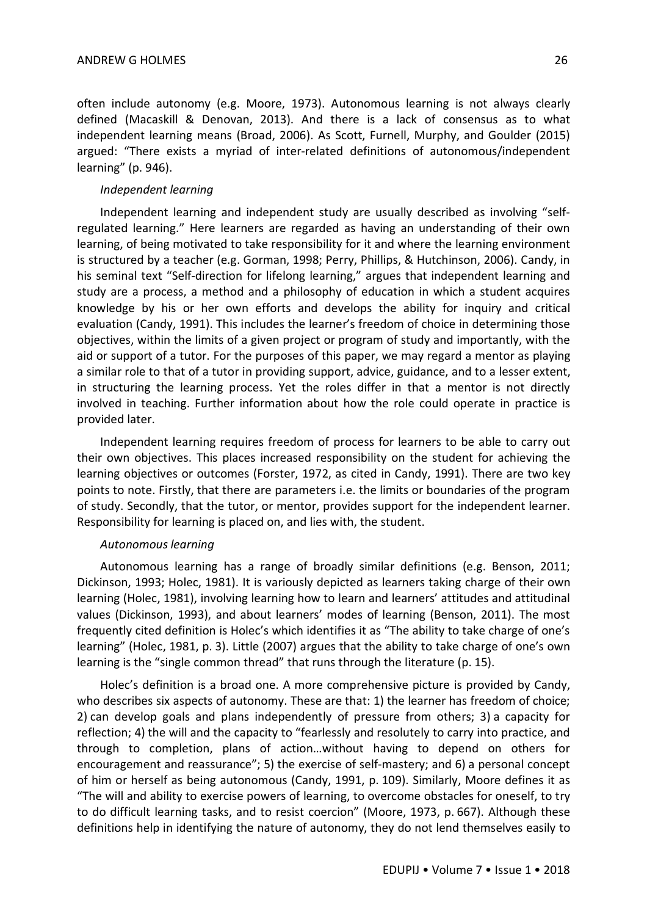often include autonomy (e.g. Moore, 1973). Autonomous learning is not always clearly defined (Macaskill & Denovan, 2013). And there is a lack of consensus as to what independent learning means (Broad, 2006). As Scott, Furnell, Murphy, and Goulder (2015) argued: "There exists a myriad of inter-related definitions of autonomous/independent learning" (p. 946).

#### *Independent learning*

Independent learning and independent study are usually described as involving "selfregulated learning." Here learners are regarded as having an understanding of their own learning, of being motivated to take responsibility for it and where the learning environment is structured by a teacher (e.g. Gorman, 1998; Perry, Phillips, & Hutchinson, 2006). Candy, in his seminal text "Self-direction for lifelong learning," argues that independent learning and study are a process, a method and a philosophy of education in which a student acquires knowledge by his or her own efforts and develops the ability for inquiry and critical evaluation (Candy, 1991). This includes the learner's freedom of choice in determining those objectives, within the limits of a given project or program of study and importantly, with the aid or support of a tutor. For the purposes of this paper, we may regard a mentor as playing a similar role to that of a tutor in providing support, advice, guidance, and to a lesser extent, in structuring the learning process. Yet the roles differ in that a mentor is not directly involved in teaching. Further information about how the role could operate in practice is provided later.

Independent learning requires freedom of process for learners to be able to carry out their own objectives. This places increased responsibility on the student for achieving the learning objectives or outcomes (Forster, 1972, as cited in Candy, 1991). There are two key points to note. Firstly, that there are parameters i.e. the limits or boundaries of the program of study. Secondly, that the tutor, or mentor, provides support for the independent learner. Responsibility for learning is placed on, and lies with, the student.

## *Autonomous learning*

Autonomous learning has a range of broadly similar definitions (e.g. Benson, 2011; Dickinson, 1993; Holec, 1981). It is variously depicted as learners taking charge of their own learning (Holec, 1981), involving learning how to learn and learners' attitudes and attitudinal values (Dickinson, 1993), and about learners' modes of learning (Benson, 2011). The most frequently cited definition is Holec's which identifies it as "The ability to take charge of one's learning" (Holec, 1981, p. 3). Little (2007) argues that the ability to take charge of one's own learning is the "single common thread" that runs through the literature (p. 15).

Holec's definition is a broad one. A more comprehensive picture is provided by Candy, who describes six aspects of autonomy. These are that: 1) the learner has freedom of choice; 2) can develop goals and plans independently of pressure from others; 3) a capacity for reflection; 4) the will and the capacity to "fearlessly and resolutely to carry into practice, and through to completion, plans of action…without having to depend on others for encouragement and reassurance"; 5) the exercise of self-mastery; and 6) a personal concept of him or herself as being autonomous (Candy, 1991, p. 109). Similarly, Moore defines it as "The will and ability to exercise powers of learning, to overcome obstacles for oneself, to try to do difficult learning tasks, and to resist coercion" (Moore, 1973, p. 667). Although these definitions help in identifying the nature of autonomy, they do not lend themselves easily to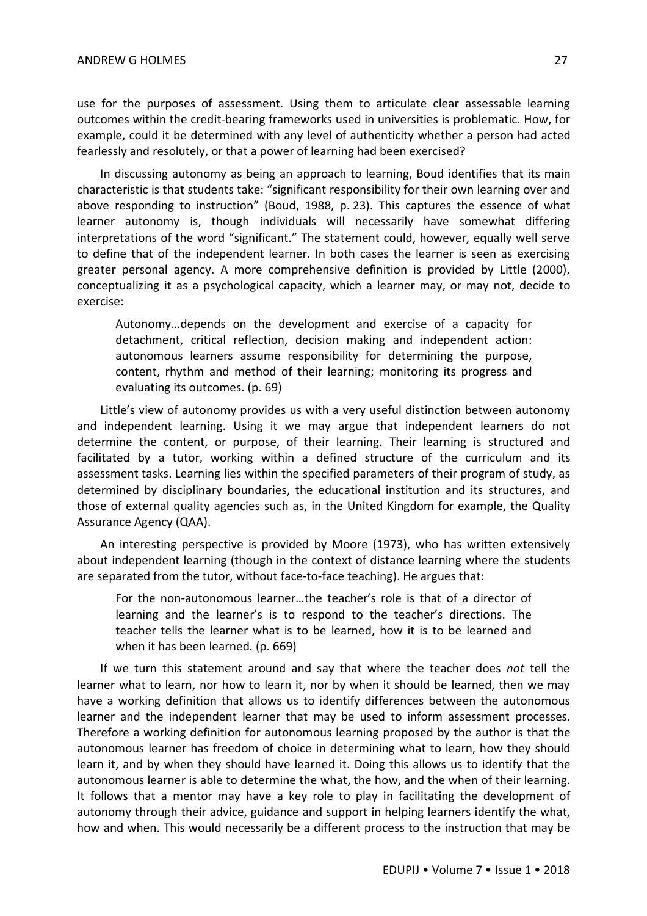use for the purposes of assessment. Using them to articulate clear assessable learning outcomes within the credit-bearing frameworks used in universities is problematic. How, for example, could it be determined with any level of authenticity whether a person had acted fearlessly and resolutely, or that a power of learning had been exercised?

In discussing autonomy as being an approach to learning, Boud identifies that its main characteristic is that students take: "significant responsibility for their own learning over and above responding to instruction" (Boud, 1988, p. 23). This captures the essence of what learner autonomy is, though individuals will necessarily have somewhat differing interpretations of the word "significant." The statement could, however, equally well serve to define that of the independent learner. In both cases the learner is seen as exercising greater personal agency. A more comprehensive definition is provided by Little (2000), conceptualizing it as a psychological capacity, which a learner may, or may not, decide to exercise:

Autonomy…depends on the development and exercise of a capacity for detachment, critical reflection, decision making and independent action: autonomous learners assume responsibility for determining the purpose, content, rhythm and method of their learning; monitoring its progress and evaluating its outcomes. (p. 69)

Little's view of autonomy provides us with a very useful distinction between autonomy and independent learning. Using it we may argue that independent learners do not determine the content, or purpose, of their learning. Their learning is structured and facilitated by a tutor, working within a defined structure of the curriculum and its assessment tasks. Learning lies within the specified parameters of their program of study, as determined by disciplinary boundaries, the educational institution and its structures, and those of external quality agencies such as, in the United Kingdom for example, the Quality Assurance Agency (QAA).

An interesting perspective is provided by Moore (1973), who has written extensively about independent learning (though in the context of distance learning where the students are separated from the tutor, without face-to-face teaching). He argues that:

For the non-autonomous learner…the teacher's role is that of a director of learning and the learner's is to respond to the teacher's directions. The teacher tells the learner what is to be learned, how it is to be learned and when it has been learned. (p. 669)

If we turn this statement around and say that where the teacher does *not* tell the learner what to learn, nor how to learn it, nor by when it should be learned, then we may have a working definition that allows us to identify differences between the autonomous learner and the independent learner that may be used to inform assessment processes. Therefore a working definition for autonomous learning proposed by the author is that the autonomous learner has freedom of choice in determining what to learn, how they should learn it, and by when they should have learned it. Doing this allows us to identify that the autonomous learner is able to determine the what, the how, and the when of their learning. It follows that a mentor may have a key role to play in facilitating the development of autonomy through their advice, guidance and support in helping learners identify the what, how and when. This would necessarily be a different process to the instruction that may be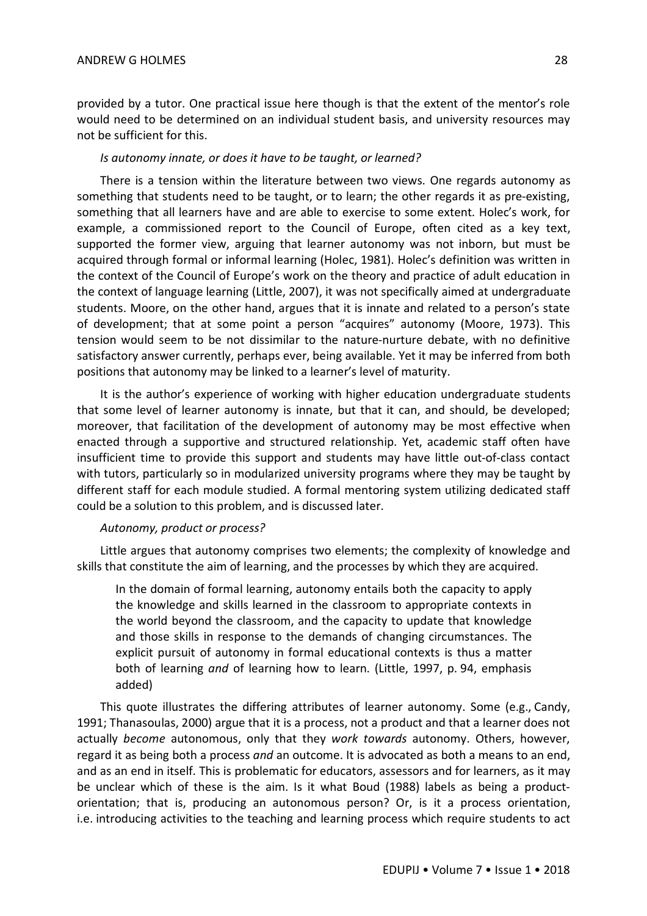provided by a tutor. One practical issue here though is that the extent of the mentor's role would need to be determined on an individual student basis, and university resources may not be sufficient for this.

## *Is autonomy innate, or does it have to be taught, or learned?*

There is a tension within the literature between two views. One regards autonomy as something that students need to be taught, or to learn; the other regards it as pre-existing, something that all learners have and are able to exercise to some extent. Holec's work, for example, a commissioned report to the Council of Europe, often cited as a key text, supported the former view, arguing that learner autonomy was not inborn, but must be acquired through formal or informal learning (Holec, 1981). Holec's definition was written in the context of the Council of Europe's work on the theory and practice of adult education in the context of language learning (Little, 2007), it was not specifically aimed at undergraduate students. Moore, on the other hand, argues that it is innate and related to a person's state of development; that at some point a person "acquires" autonomy (Moore, 1973). This tension would seem to be not dissimilar to the nature-nurture debate, with no definitive satisfactory answer currently, perhaps ever, being available. Yet it may be inferred from both positions that autonomy may be linked to a learner's level of maturity.

It is the author's experience of working with higher education undergraduate students that some level of learner autonomy is innate, but that it can, and should, be developed; moreover, that facilitation of the development of autonomy may be most effective when enacted through a supportive and structured relationship. Yet, academic staff often have insufficient time to provide this support and students may have little out-of-class contact with tutors, particularly so in modularized university programs where they may be taught by different staff for each module studied. A formal mentoring system utilizing dedicated staff could be a solution to this problem, and is discussed later.

## *Autonomy, product or process?*

Little argues that autonomy comprises two elements; the complexity of knowledge and skills that constitute the aim of learning, and the processes by which they are acquired.

In the domain of formal learning, autonomy entails both the capacity to apply the knowledge and skills learned in the classroom to appropriate contexts in the world beyond the classroom, and the capacity to update that knowledge and those skills in response to the demands of changing circumstances. The explicit pursuit of autonomy in formal educational contexts is thus a matter both of learning *and* of learning how to learn. (Little, 1997, p. 94, emphasis added)

This quote illustrates the differing attributes of learner autonomy. Some (e.g., Candy, 1991; Thanasoulas, 2000) argue that it is a process, not a product and that a learner does not actually *become* autonomous, only that they *work towards* autonomy. Others, however, regard it as being both a process *and* an outcome. It is advocated as both a means to an end, and as an end in itself. This is problematic for educators, assessors and for learners, as it may be unclear which of these is the aim. Is it what Boud (1988) labels as being a productorientation; that is, producing an autonomous person? Or, is it a process orientation, i.e. introducing activities to the teaching and learning process which require students to act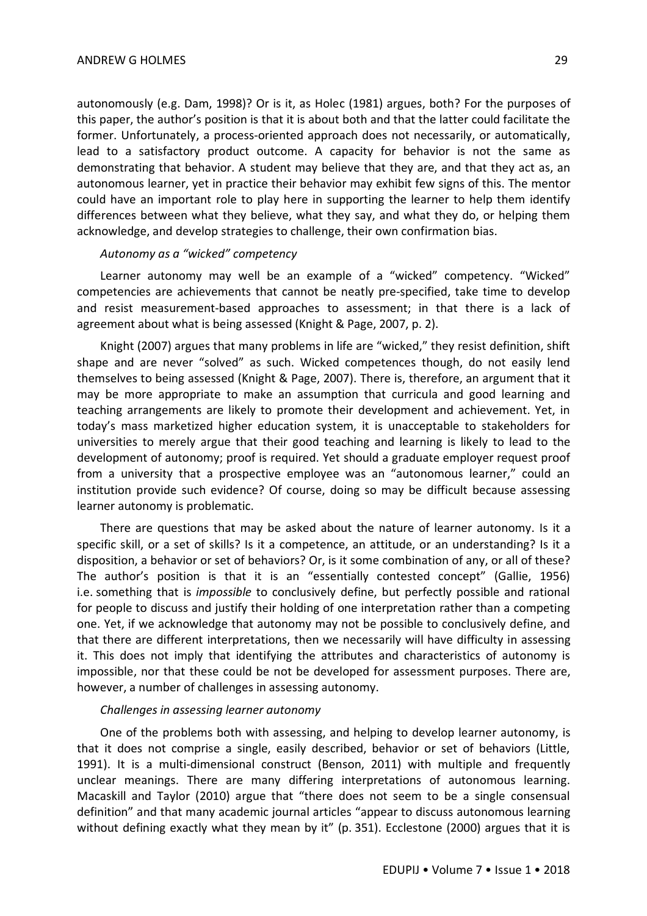autonomously (e.g. Dam, 1998)? Or is it, as Holec (1981) argues, both? For the purposes of this paper, the author's position is that it is about both and that the latter could facilitate the former. Unfortunately, a process-oriented approach does not necessarily, or automatically, lead to a satisfactory product outcome. A capacity for behavior is not the same as demonstrating that behavior. A student may believe that they are, and that they act as, an autonomous learner, yet in practice their behavior may exhibit few signs of this. The mentor could have an important role to play here in supporting the learner to help them identify differences between what they believe, what they say, and what they do, or helping them acknowledge, and develop strategies to challenge, their own confirmation bias.

#### *Autonomy as a "wicked" competency*

Learner autonomy may well be an example of a "wicked" competency. "Wicked" competencies are achievements that cannot be neatly pre-specified, take time to develop and resist measurement-based approaches to assessment; in that there is a lack of agreement about what is being assessed (Knight & Page, 2007, p. 2).

Knight (2007) argues that many problems in life are "wicked," they resist definition, shift shape and are never "solved" as such. Wicked competences though, do not easily lend themselves to being assessed (Knight & Page, 2007). There is, therefore, an argument that it may be more appropriate to make an assumption that curricula and good learning and teaching arrangements are likely to promote their development and achievement. Yet, in today's mass marketized higher education system, it is unacceptable to stakeholders for universities to merely argue that their good teaching and learning is likely to lead to the development of autonomy; proof is required. Yet should a graduate employer request proof from a university that a prospective employee was an "autonomous learner," could an institution provide such evidence? Of course, doing so may be difficult because assessing learner autonomy is problematic.

There are questions that may be asked about the nature of learner autonomy. Is it a specific skill, or a set of skills? Is it a competence, an attitude, or an understanding? Is it a disposition, a behavior or set of behaviors? Or, is it some combination of any, or all of these? The author's position is that it is an "essentially contested concept" (Gallie, 1956) i.e. something that is *impossible* to conclusively define, but perfectly possible and rational for people to discuss and justify their holding of one interpretation rather than a competing one. Yet, if we acknowledge that autonomy may not be possible to conclusively define, and that there are different interpretations, then we necessarily will have difficulty in assessing it. This does not imply that identifying the attributes and characteristics of autonomy is impossible, nor that these could be not be developed for assessment purposes. There are, however, a number of challenges in assessing autonomy.

#### *Challenges in assessing learner autonomy*

One of the problems both with assessing, and helping to develop learner autonomy, is that it does not comprise a single, easily described, behavior or set of behaviors (Little, 1991). It is a multi-dimensional construct (Benson, 2011) with multiple and frequently unclear meanings. There are many differing interpretations of autonomous learning. Macaskill and Taylor (2010) argue that "there does not seem to be a single consensual definition" and that many academic journal articles "appear to discuss autonomous learning without defining exactly what they mean by it" (p. 351). Ecclestone (2000) argues that it is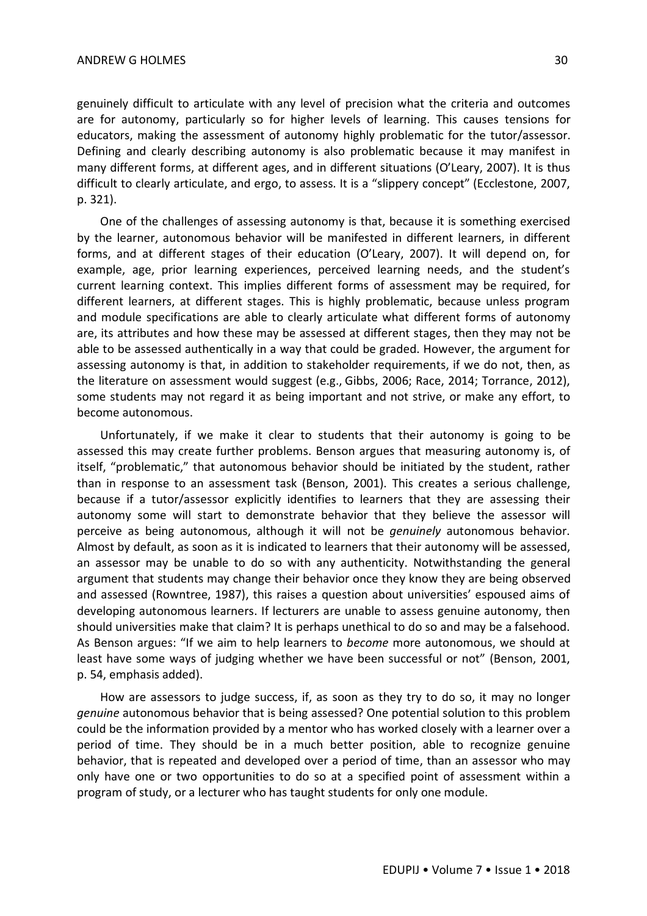genuinely difficult to articulate with any level of precision what the criteria and outcomes are for autonomy, particularly so for higher levels of learning. This causes tensions for educators, making the assessment of autonomy highly problematic for the tutor/assessor. Defining and clearly describing autonomy is also problematic because it may manifest in many different forms, at different ages, and in different situations (O'Leary, 2007). It is thus difficult to clearly articulate, and ergo, to assess. It is a "slippery concept" (Ecclestone, 2007, p. 321).

One of the challenges of assessing autonomy is that, because it is something exercised by the learner, autonomous behavior will be manifested in different learners, in different forms, and at different stages of their education (O'Leary, 2007). It will depend on, for example, age, prior learning experiences, perceived learning needs, and the student's current learning context. This implies different forms of assessment may be required, for different learners, at different stages. This is highly problematic, because unless program and module specifications are able to clearly articulate what different forms of autonomy are, its attributes and how these may be assessed at different stages, then they may not be able to be assessed authentically in a way that could be graded. However, the argument for assessing autonomy is that, in addition to stakeholder requirements, if we do not, then, as the literature on assessment would suggest (e.g., Gibbs, 2006; Race, 2014; Torrance, 2012), some students may not regard it as being important and not strive, or make any effort, to become autonomous.

Unfortunately, if we make it clear to students that their autonomy is going to be assessed this may create further problems. Benson argues that measuring autonomy is, of itself, "problematic," that autonomous behavior should be initiated by the student, rather than in response to an assessment task (Benson, 2001). This creates a serious challenge, because if a tutor/assessor explicitly identifies to learners that they are assessing their autonomy some will start to demonstrate behavior that they believe the assessor will perceive as being autonomous, although it will not be *genuinely* autonomous behavior. Almost by default, as soon as it is indicated to learners that their autonomy will be assessed, an assessor may be unable to do so with any authenticity. Notwithstanding the general argument that students may change their behavior once they know they are being observed and assessed (Rowntree, 1987), this raises a question about universities' espoused aims of developing autonomous learners. If lecturers are unable to assess genuine autonomy, then should universities make that claim? It is perhaps unethical to do so and may be a falsehood. As Benson argues: "If we aim to help learners to *become* more autonomous, we should at least have some ways of judging whether we have been successful or not" (Benson, 2001, p. 54, emphasis added).

How are assessors to judge success, if, as soon as they try to do so, it may no longer *genuine* autonomous behavior that is being assessed? One potential solution to this problem could be the information provided by a mentor who has worked closely with a learner over a period of time. They should be in a much better position, able to recognize genuine behavior, that is repeated and developed over a period of time, than an assessor who may only have one or two opportunities to do so at a specified point of assessment within a program of study, or a lecturer who has taught students for only one module.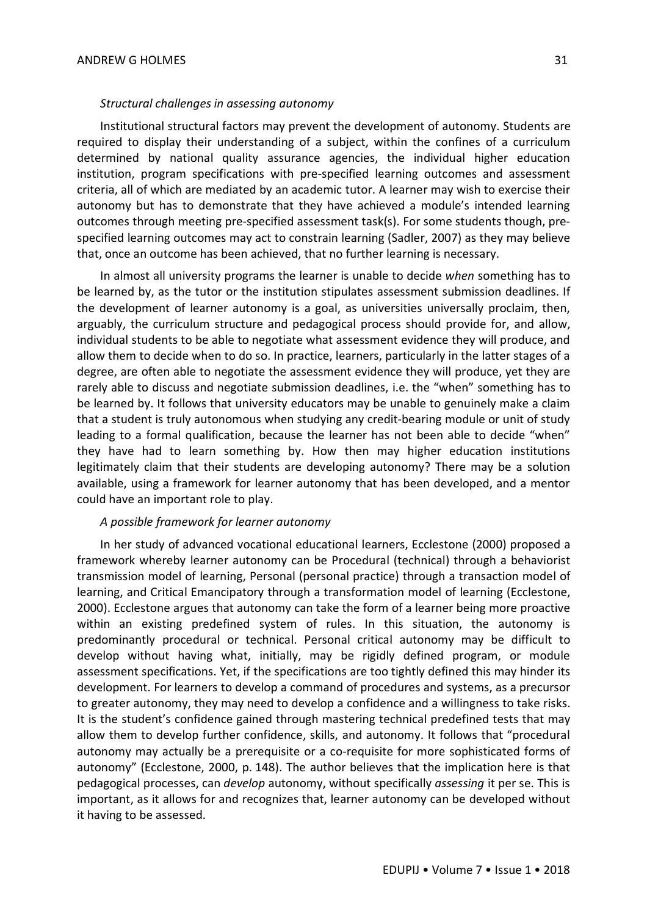#### *Structural challenges in assessing autonomy*

Institutional structural factors may prevent the development of autonomy. Students are required to display their understanding of a subject, within the confines of a curriculum determined by national quality assurance agencies, the individual higher education institution, program specifications with pre-specified learning outcomes and assessment criteria, all of which are mediated by an academic tutor. A learner may wish to exercise their autonomy but has to demonstrate that they have achieved a module's intended learning outcomes through meeting pre-specified assessment task(s). For some students though, prespecified learning outcomes may act to constrain learning (Sadler, 2007) as they may believe that, once an outcome has been achieved, that no further learning is necessary.

In almost all university programs the learner is unable to decide *when* something has to be learned by, as the tutor or the institution stipulates assessment submission deadlines. If the development of learner autonomy is a goal, as universities universally proclaim, then, arguably, the curriculum structure and pedagogical process should provide for, and allow, individual students to be able to negotiate what assessment evidence they will produce, and allow them to decide when to do so. In practice, learners, particularly in the latter stages of a degree, are often able to negotiate the assessment evidence they will produce, yet they are rarely able to discuss and negotiate submission deadlines, i.e. the "when" something has to be learned by. It follows that university educators may be unable to genuinely make a claim that a student is truly autonomous when studying any credit-bearing module or unit of study leading to a formal qualification, because the learner has not been able to decide "when" they have had to learn something by. How then may higher education institutions legitimately claim that their students are developing autonomy? There may be a solution available, using a framework for learner autonomy that has been developed, and a mentor could have an important role to play.

#### *A possible framework for learner autonomy*

In her study of advanced vocational educational learners, Ecclestone (2000) proposed a framework whereby learner autonomy can be Procedural (technical) through a behaviorist transmission model of learning, Personal (personal practice) through a transaction model of learning, and Critical Emancipatory through a transformation model of learning (Ecclestone, 2000). Ecclestone argues that autonomy can take the form of a learner being more proactive within an existing predefined system of rules. In this situation, the autonomy is predominantly procedural or technical. Personal critical autonomy may be difficult to develop without having what, initially, may be rigidly defined program, or module assessment specifications. Yet, if the specifications are too tightly defined this may hinder its development. For learners to develop a command of procedures and systems, as a precursor to greater autonomy, they may need to develop a confidence and a willingness to take risks. It is the student's confidence gained through mastering technical predefined tests that may allow them to develop further confidence, skills, and autonomy. It follows that "procedural autonomy may actually be a prerequisite or a co-requisite for more sophisticated forms of autonomy" (Ecclestone, 2000, p. 148). The author believes that the implication here is that pedagogical processes, can *develop* autonomy, without specifically *assessing* it per se. This is important, as it allows for and recognizes that, learner autonomy can be developed without it having to be assessed.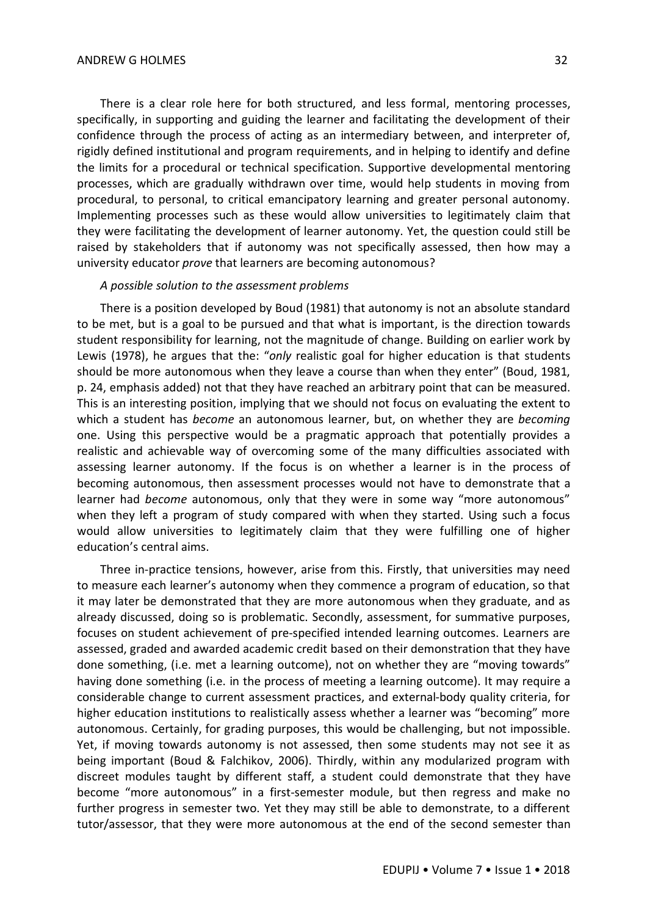There is a clear role here for both structured, and less formal, mentoring processes, specifically, in supporting and guiding the learner and facilitating the development of their confidence through the process of acting as an intermediary between, and interpreter of, rigidly defined institutional and program requirements, and in helping to identify and define the limits for a procedural or technical specification. Supportive developmental mentoring processes, which are gradually withdrawn over time, would help students in moving from procedural, to personal, to critical emancipatory learning and greater personal autonomy. Implementing processes such as these would allow universities to legitimately claim that they were facilitating the development of learner autonomy. Yet, the question could still be raised by stakeholders that if autonomy was not specifically assessed, then how may a university educator *prove* that learners are becoming autonomous?

#### *A possible solution to the assessment problems*

There is a position developed by Boud (1981) that autonomy is not an absolute standard to be met, but is a goal to be pursued and that what is important, is the direction towards student responsibility for learning, not the magnitude of change. Building on earlier work by Lewis (1978), he argues that the: "*only* realistic goal for higher education is that students should be more autonomous when they leave a course than when they enter" (Boud, 1981, p. 24, emphasis added) not that they have reached an arbitrary point that can be measured. This is an interesting position, implying that we should not focus on evaluating the extent to which a student has *become* an autonomous learner, but, on whether they are *becoming* one. Using this perspective would be a pragmatic approach that potentially provides a realistic and achievable way of overcoming some of the many difficulties associated with assessing learner autonomy. If the focus is on whether a learner is in the process of becoming autonomous, then assessment processes would not have to demonstrate that a learner had *become* autonomous, only that they were in some way "more autonomous" when they left a program of study compared with when they started. Using such a focus would allow universities to legitimately claim that they were fulfilling one of higher education's central aims.

Three in-practice tensions, however, arise from this. Firstly, that universities may need to measure each learner's autonomy when they commence a program of education, so that it may later be demonstrated that they are more autonomous when they graduate, and as already discussed, doing so is problematic. Secondly, assessment, for summative purposes, focuses on student achievement of pre-specified intended learning outcomes. Learners are assessed, graded and awarded academic credit based on their demonstration that they have done something, (i.e. met a learning outcome), not on whether they are "moving towards" having done something (i.e. in the process of meeting a learning outcome). It may require a considerable change to current assessment practices, and external-body quality criteria, for higher education institutions to realistically assess whether a learner was "becoming" more autonomous. Certainly, for grading purposes, this would be challenging, but not impossible. Yet, if moving towards autonomy is not assessed, then some students may not see it as being important (Boud & Falchikov, 2006). Thirdly, within any modularized program with discreet modules taught by different staff, a student could demonstrate that they have become "more autonomous" in a first-semester module, but then regress and make no further progress in semester two. Yet they may still be able to demonstrate, to a different tutor/assessor, that they were more autonomous at the end of the second semester than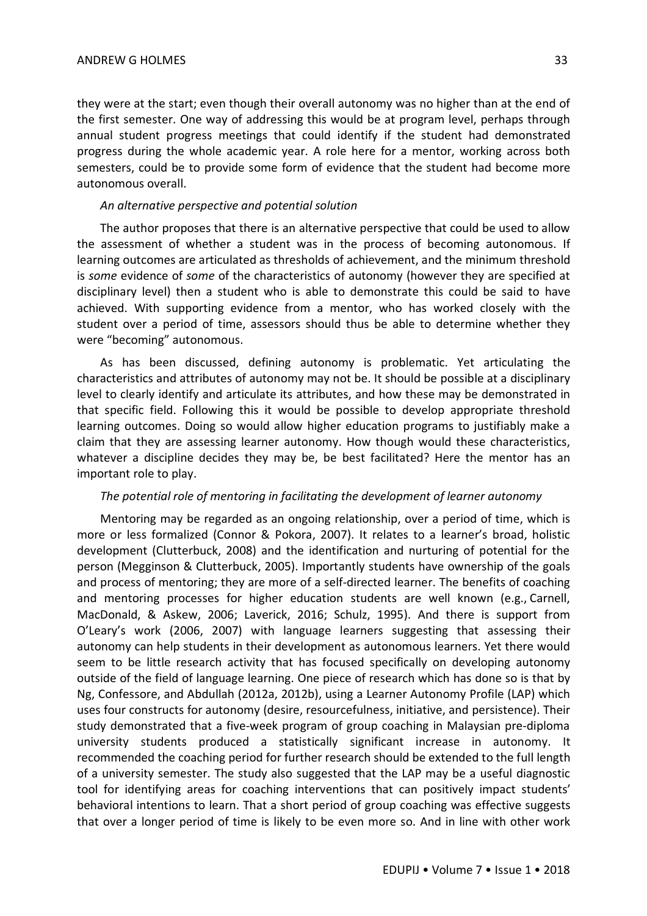they were at the start; even though their overall autonomy was no higher than at the end of the first semester. One way of addressing this would be at program level, perhaps through annual student progress meetings that could identify if the student had demonstrated progress during the whole academic year. A role here for a mentor, working across both semesters, could be to provide some form of evidence that the student had become more autonomous overall.

#### *An alternative perspective and potential solution*

The author proposes that there is an alternative perspective that could be used to allow the assessment of whether a student was in the process of becoming autonomous. If learning outcomes are articulated as thresholds of achievement, and the minimum threshold is *some* evidence of *some* of the characteristics of autonomy (however they are specified at disciplinary level) then a student who is able to demonstrate this could be said to have achieved. With supporting evidence from a mentor, who has worked closely with the student over a period of time, assessors should thus be able to determine whether they were "becoming" autonomous.

As has been discussed, defining autonomy is problematic. Yet articulating the characteristics and attributes of autonomy may not be. It should be possible at a disciplinary level to clearly identify and articulate its attributes, and how these may be demonstrated in that specific field. Following this it would be possible to develop appropriate threshold learning outcomes. Doing so would allow higher education programs to justifiably make a claim that they are assessing learner autonomy. How though would these characteristics, whatever a discipline decides they may be, be best facilitated? Here the mentor has an important role to play.

#### *The potential role of mentoring in facilitating the development of learner autonomy*

Mentoring may be regarded as an ongoing relationship, over a period of time, which is more or less formalized (Connor & Pokora, 2007). It relates to a learner's broad, holistic development (Clutterbuck, 2008) and the identification and nurturing of potential for the person (Megginson & Clutterbuck, 2005). Importantly students have ownership of the goals and process of mentoring; they are more of a self-directed learner. The benefits of coaching and mentoring processes for higher education students are well known (e.g., Carnell, MacDonald, & Askew, 2006; Laverick, 2016; Schulz, 1995). And there is support from O'Leary's work (2006, 2007) with language learners suggesting that assessing their autonomy can help students in their development as autonomous learners. Yet there would seem to be little research activity that has focused specifically on developing autonomy outside of the field of language learning. One piece of research which has done so is that by Ng, Confessore, and Abdullah (2012a, 2012b), using a Learner Autonomy Profile (LAP) which uses four constructs for autonomy (desire, resourcefulness, initiative, and persistence). Their study demonstrated that a five-week program of group coaching in Malaysian pre-diploma university students produced a statistically significant increase in autonomy. It recommended the coaching period for further research should be extended to the full length of a university semester. The study also suggested that the LAP may be a useful diagnostic tool for identifying areas for coaching interventions that can positively impact students' behavioral intentions to learn. That a short period of group coaching was effective suggests that over a longer period of time is likely to be even more so. And in line with other work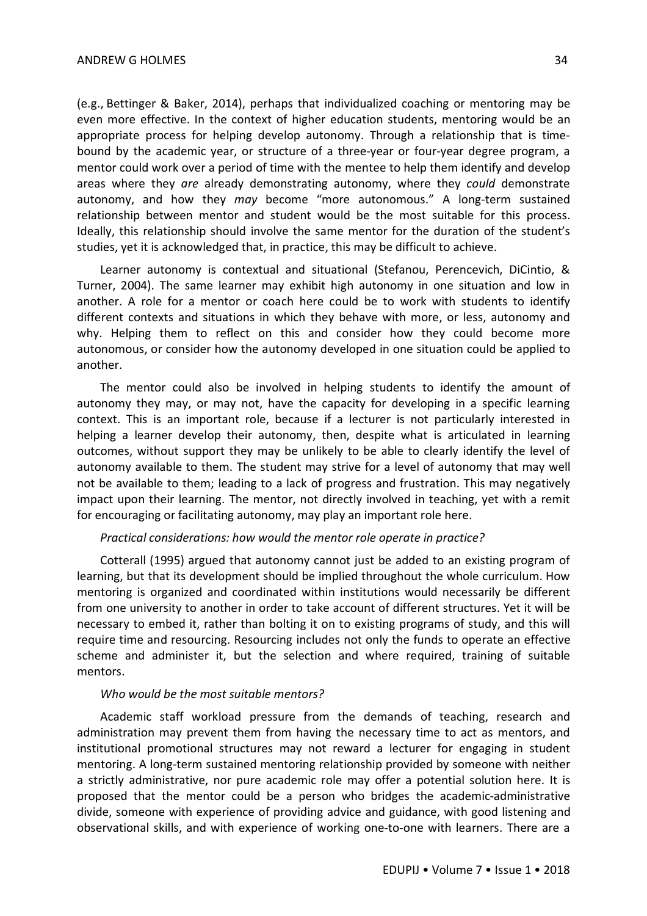(e.g., Bettinger & Baker, 2014), perhaps that individualized coaching or mentoring may be even more effective. In the context of higher education students, mentoring would be an appropriate process for helping develop autonomy. Through a relationship that is timebound by the academic year, or structure of a three-year or four-year degree program, a mentor could work over a period of time with the mentee to help them identify and develop areas where they *are* already demonstrating autonomy, where they *could* demonstrate autonomy, and how they *may* become "more autonomous." A long-term sustained relationship between mentor and student would be the most suitable for this process. Ideally, this relationship should involve the same mentor for the duration of the student's studies, yet it is acknowledged that, in practice, this may be difficult to achieve.

Learner autonomy is contextual and situational (Stefanou, Perencevich, DiCintio, & Turner, 2004). The same learner may exhibit high autonomy in one situation and low in another. A role for a mentor or coach here could be to work with students to identify different contexts and situations in which they behave with more, or less, autonomy and why. Helping them to reflect on this and consider how they could become more autonomous, or consider how the autonomy developed in one situation could be applied to another.

The mentor could also be involved in helping students to identify the amount of autonomy they may, or may not, have the capacity for developing in a specific learning context. This is an important role, because if a lecturer is not particularly interested in helping a learner develop their autonomy, then, despite what is articulated in learning outcomes, without support they may be unlikely to be able to clearly identify the level of autonomy available to them. The student may strive for a level of autonomy that may well not be available to them; leading to a lack of progress and frustration. This may negatively impact upon their learning. The mentor, not directly involved in teaching, yet with a remit for encouraging or facilitating autonomy, may play an important role here.

#### *Practical considerations: how would the mentor role operate in practice?*

Cotterall (1995) argued that autonomy cannot just be added to an existing program of learning, but that its development should be implied throughout the whole curriculum. How mentoring is organized and coordinated within institutions would necessarily be different from one university to another in order to take account of different structures. Yet it will be necessary to embed it, rather than bolting it on to existing programs of study, and this will require time and resourcing. Resourcing includes not only the funds to operate an effective scheme and administer it, but the selection and where required, training of suitable mentors.

#### *Who would be the most suitable mentors?*

Academic staff workload pressure from the demands of teaching, research and administration may prevent them from having the necessary time to act as mentors, and institutional promotional structures may not reward a lecturer for engaging in student mentoring. A long-term sustained mentoring relationship provided by someone with neither a strictly administrative, nor pure academic role may offer a potential solution here. It is proposed that the mentor could be a person who bridges the academic-administrative divide, someone with experience of providing advice and guidance, with good listening and observational skills, and with experience of working one-to-one with learners. There are a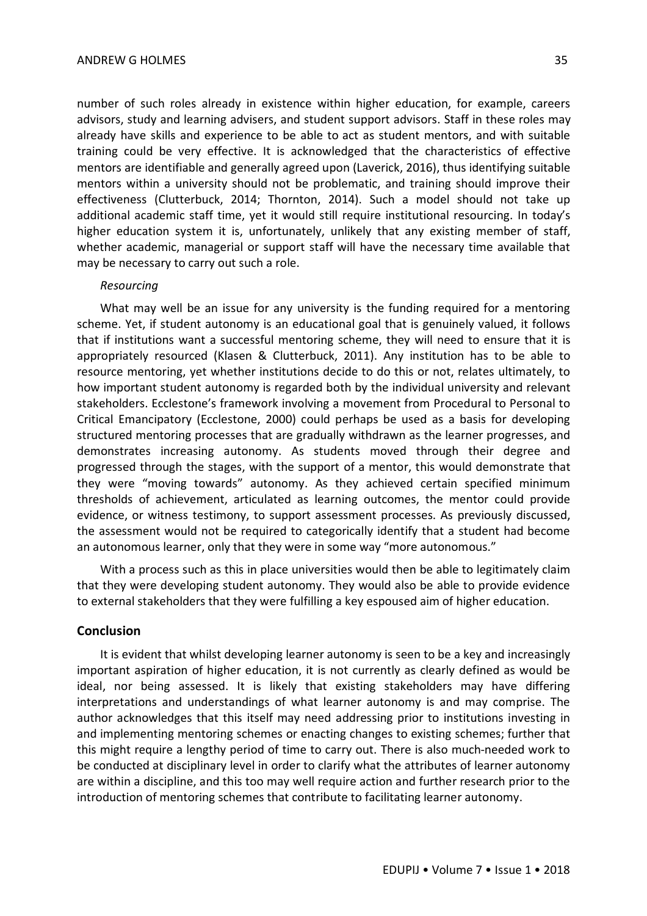number of such roles already in existence within higher education, for example, careers advisors, study and learning advisers, and student support advisors. Staff in these roles may already have skills and experience to be able to act as student mentors, and with suitable training could be very effective. It is acknowledged that the characteristics of effective mentors are identifiable and generally agreed upon (Laverick, 2016), thus identifying suitable mentors within a university should not be problematic, and training should improve their effectiveness (Clutterbuck, 2014; Thornton, 2014). Such a model should not take up additional academic staff time, yet it would still require institutional resourcing. In today's higher education system it is, unfortunately, unlikely that any existing member of staff, whether academic, managerial or support staff will have the necessary time available that may be necessary to carry out such a role.

### *Resourcing*

What may well be an issue for any university is the funding required for a mentoring scheme. Yet, if student autonomy is an educational goal that is genuinely valued, it follows that if institutions want a successful mentoring scheme, they will need to ensure that it is appropriately resourced (Klasen & Clutterbuck, 2011). Any institution has to be able to resource mentoring, yet whether institutions decide to do this or not, relates ultimately, to how important student autonomy is regarded both by the individual university and relevant stakeholders. Ecclestone's framework involving a movement from Procedural to Personal to Critical Emancipatory (Ecclestone, 2000) could perhaps be used as a basis for developing structured mentoring processes that are gradually withdrawn as the learner progresses, and demonstrates increasing autonomy. As students moved through their degree and progressed through the stages, with the support of a mentor, this would demonstrate that they were "moving towards" autonomy. As they achieved certain specified minimum thresholds of achievement, articulated as learning outcomes, the mentor could provide evidence, or witness testimony, to support assessment processes. As previously discussed, the assessment would not be required to categorically identify that a student had become an autonomous learner, only that they were in some way "more autonomous."

With a process such as this in place universities would then be able to legitimately claim that they were developing student autonomy. They would also be able to provide evidence to external stakeholders that they were fulfilling a key espoused aim of higher education.

## **Conclusion**

It is evident that whilst developing learner autonomy is seen to be a key and increasingly important aspiration of higher education, it is not currently as clearly defined as would be ideal, nor being assessed. It is likely that existing stakeholders may have differing interpretations and understandings of what learner autonomy is and may comprise. The author acknowledges that this itself may need addressing prior to institutions investing in and implementing mentoring schemes or enacting changes to existing schemes; further that this might require a lengthy period of time to carry out. There is also much-needed work to be conducted at disciplinary level in order to clarify what the attributes of learner autonomy are within a discipline, and this too may well require action and further research prior to the introduction of mentoring schemes that contribute to facilitating learner autonomy.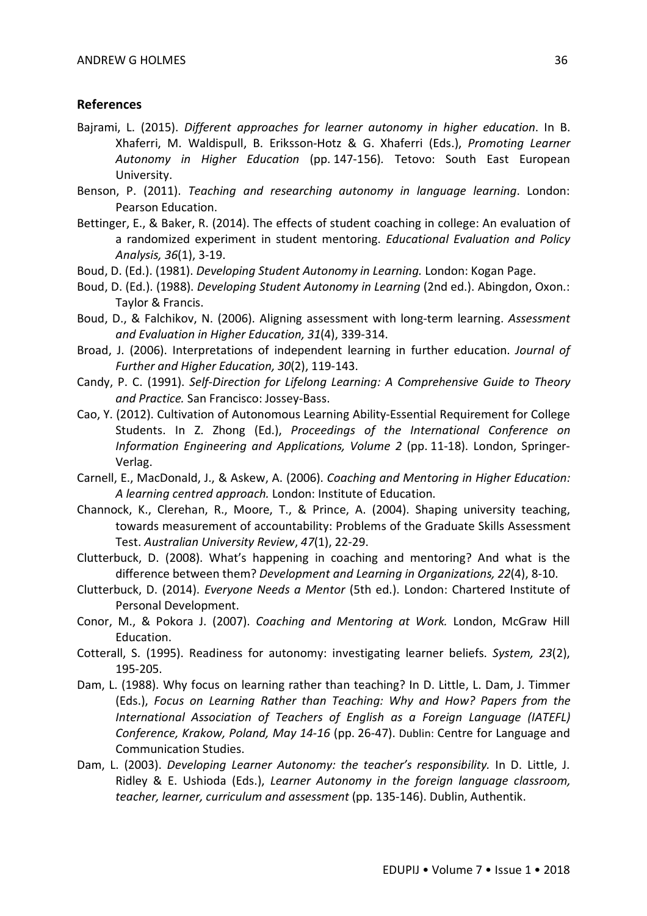#### **References**

- Bajrami, L. (2015). *Different approaches for learner autonomy in higher education*. In B. Xhaferri, M. Waldispull, B. Eriksson-Hotz & G. Xhaferri (Eds.), *Promoting Learner Autonomy in Higher Education* (pp. 147-156)*.* Tetovo: South East European University.
- Benson, P. (2011). *Teaching and researching autonomy in language learning*. London: Pearson Education.
- Bettinger, E., & Baker, R. (2014). The effects of student coaching in college: An evaluation of a randomized experiment in student mentoring. *Educational Evaluation and Policy Analysis, 36*(1), 3-19.
- Boud, D. (Ed.). (1981). *Developing Student Autonomy in Learning.* London: Kogan Page.
- Boud, D. (Ed.). (1988). *Developing Student Autonomy in Learning* (2nd ed.). Abingdon, Oxon.: Taylor & Francis.
- Boud, D., & Falchikov, N. (2006). Aligning assessment with long-term learning. *Assessment and Evaluation in Higher Education, 31*(4), 339-314.
- Broad, J. (2006). Interpretations of independent learning in further education. *Journal of Further and Higher Education, 30*(2), 119-143.
- Candy, P. C. (1991). *Self-Direction for Lifelong Learning: A Comprehensive Guide to Theory and Practice.* San Francisco: Jossey-Bass.
- Cao, Y. (2012). Cultivation of Autonomous Learning Ability-Essential Requirement for College Students. In Z. Zhong (Ed.), *Proceedings of the International Conference on Information Engineering and Applications, Volume 2* (pp. 11-18). London, Springer-Verlag.
- Carnell, E., MacDonald, J., & Askew, A. (2006). *Coaching and Mentoring in Higher Education: A learning centred approach.* London: Institute of Education.
- Channock, K., Clerehan, R., Moore, T., & Prince, A. (2004). Shaping university teaching, towards measurement of accountability: Problems of the Graduate Skills Assessment Test. *Australian University Review*, *47*(1), 22-29.
- Clutterbuck, D. (2008). What's happening in coaching and mentoring? And what is the difference between them? *Development and Learning in Organizations, 22*(4), 8-10.
- Clutterbuck, D. (2014). *Everyone Needs a Mentor* (5th ed.). London: Chartered Institute of Personal Development.
- Conor, M., & Pokora J. (2007). *Coaching and Mentoring at Work.* London, McGraw Hill Education.
- Cotterall, S. (1995). Readiness for autonomy: investigating learner beliefs. *System, 23*(2), 195-205.
- Dam, L. (1988). Why focus on learning rather than teaching? In D. Little, L. Dam, J. Timmer (Eds.), *Focus on Learning Rather than Teaching: Why and How? Papers from the International Association of Teachers of English as a Foreign Language (IATEFL) Conference, Krakow, Poland, May 14-16* (pp. 26-47). Dublin: Centre for Language and Communication Studies.
- Dam, L. (2003). *Developing Learner Autonomy: the teacher's responsibility.* In D. Little, J. Ridley & E. Ushioda (Eds.), *Learner Autonomy in the foreign language classroom, teacher, learner, curriculum and assessment* (pp. 135-146). Dublin, Authentik.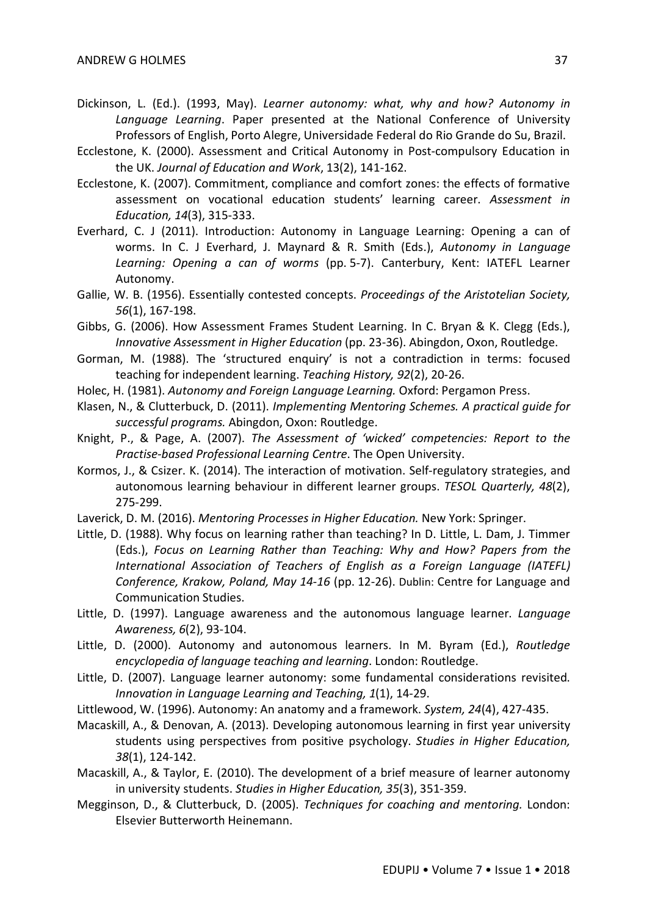- Dickinson, L. (Ed.). (1993, May). *Learner autonomy: what, why and how? Autonomy in Language Learning*. Paper presented at the National Conference of University Professors of English, Porto Alegre, Universidade Federal do Rio Grande do Su, Brazil.
- Ecclestone, K. (2000). Assessment and Critical Autonomy in Post-compulsory Education in the UK. *Journal of Education and Work*, 13(2), 141-162.
- Ecclestone, K. (2007). Commitment, compliance and comfort zones: the effects of formative assessment on vocational education students' learning career. *Assessment in Education, 14*(3), 315-333.
- Everhard, C. J (2011). Introduction: Autonomy in Language Learning: Opening a can of worms. In C. J Everhard, J. Maynard & R. Smith (Eds.), *Autonomy in Language Learning: Opening a can of worms* (pp. 5-7). Canterbury, Kent: IATEFL Learner Autonomy.
- Gallie, W. B. (1956). Essentially contested concepts. *Proceedings of the Aristotelian Society, 56*(1), 167-198.
- Gibbs, G. (2006). How Assessment Frames Student Learning. In C. Bryan & K. Clegg (Eds.), *Innovative Assessment in Higher Education* (pp. 23-36). Abingdon, Oxon, Routledge.
- Gorman, M. (1988). The 'structured enquiry' is not a contradiction in terms: focused teaching for independent learning. *Teaching History, 92*(2), 20-26.
- Holec, H. (1981). *Autonomy and Foreign Language Learning.* Oxford: Pergamon Press.
- Klasen, N., & Clutterbuck, D. (2011). *Implementing Mentoring Schemes. A practical guide for successful programs.* Abingdon, Oxon: Routledge.
- Knight, P., & Page, A. (2007). *The Assessment of 'wicked' competencies: Report to the Practise-based Professional Learning Centre*. The Open University.
- Kormos, J., & Csizer. K. (2014). The interaction of motivation. Self-regulatory strategies, and autonomous learning behaviour in different learner groups. *TESOL Quarterly, 48*(2), 275-299.
- Laverick, D. M. (2016). *Mentoring Processes in Higher Education.* New York: Springer.
- Little, D. (1988). Why focus on learning rather than teaching? In D. Little, L. Dam, J. Timmer (Eds.), *Focus on Learning Rather than Teaching: Why and How? Papers from the International Association of Teachers of English as a Foreign Language (IATEFL) Conference, Krakow, Poland, May 14-16* (pp. 12-26). Dublin: Centre for Language and Communication Studies.
- Little, D. (1997). Language awareness and the autonomous language learner. *Language Awareness, 6*(2), 93-104.
- Little, D. (2000). Autonomy and autonomous learners. In M. Byram (Ed.), *Routledge encyclopedia of language teaching and learning*. London: Routledge.
- Little, D. (2007). Language learner autonomy: some fundamental considerations revisited. *Innovation in Language Learning and Teaching, 1*(1), 14-29.
- Littlewood, W. (1996). Autonomy: An anatomy and a framework. *System, 24*(4), 427-435.
- Macaskill, A., & Denovan, A. (2013). Developing autonomous learning in first year university students using perspectives from positive psychology. *Studies in Higher Education, 38*(1), 124-142.
- Macaskill, A., & Taylor, E. (2010). The development of a brief measure of learner autonomy in university students. *Studies in Higher Education, 35*(3), 351-359.
- Megginson, D., & Clutterbuck, D. (2005). *Techniques for coaching and mentoring.* London: Elsevier Butterworth Heinemann.